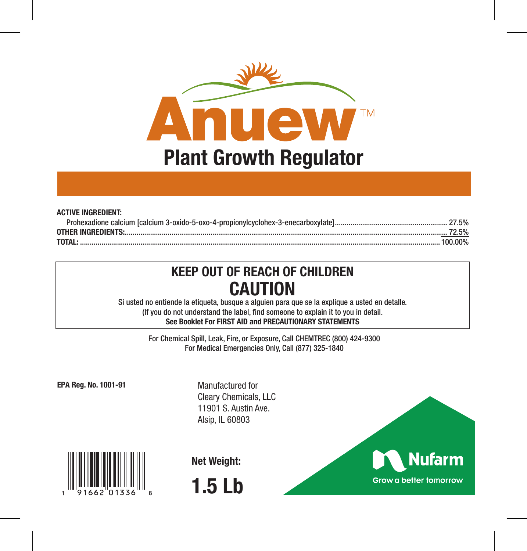

| <b>ACTIVE INGREDIENT:</b> |         |
|---------------------------|---------|
|                           |         |
|                           |         |
| <b>TOTAL:</b>             | 100.00% |

# **KEEP OUT OF REACH OF CHILDREN CAUTION**

Si usted no entiende la etiqueta, busque a alguien para que se la explique a usted en detalle. (If you do not understand the label, find someone to explain it to you in detail. **See Booklet For FIRST AID and PRECAUTIONARY STATEMENTS**

> For Chemical Spill, Leak, Fire, or Exposure, Call CHEMTREC (800) 424-9300 For Medical Emergencies Only, Call (877) 325-1840

**EPA Reg. No. 1001-91** 

Manufactured for Cleary Chemicals, LLC 11901 S. Austin Ave. Alsip, IL 60803



**Net Weight:**



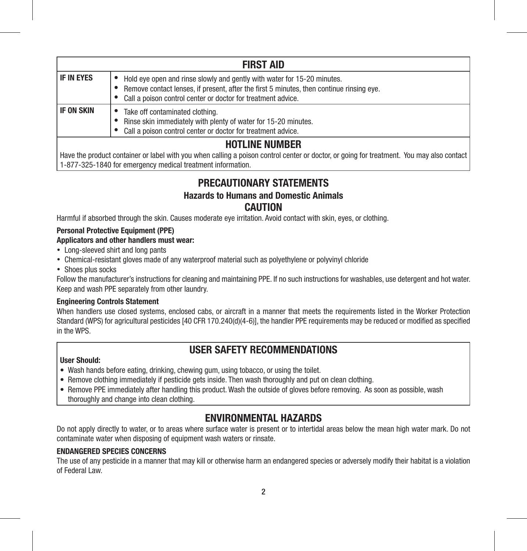| <b>FIRST AID</b>      |                                                                                                                                                                                                                                     |  |  |  |  |
|-----------------------|-------------------------------------------------------------------------------------------------------------------------------------------------------------------------------------------------------------------------------------|--|--|--|--|
| IF IN EYES            | Hold eye open and rinse slowly and gently with water for 15-20 minutes.<br>Remove contact lenses, if present, after the first 5 minutes, then continue rinsing eye.<br>Call a poison control center or doctor for treatment advice. |  |  |  |  |
| IF ON SKIN            | Take off contaminated clothing.<br>Rinse skin immediately with plenty of water for 15-20 minutes.<br>Call a poison control center or doctor for treatment advice.                                                                   |  |  |  |  |
| <b>HOTLINE NUMBER</b> |                                                                                                                                                                                                                                     |  |  |  |  |

Have the product container or label with you when calling a poison control center or doctor, or going for treatment. You may also contact 1-877-325-1840 for emergency medical treatment information.

## **PRECAUTIONARY STATEMENTS**

### **Hazards to Humans and Domestic Animals CAUTION**

Harmful if absorbed through the skin. Causes moderate eye irritation. Avoid contact with skin, eyes, or clothing.

### **Personal Protective Equipment (PPE)**

### **Applicators and other handlers must wear:**

- Long-sleeved shirt and long pants
- Chemical-resistant gloves made of any waterproof material such as polyethylene or polyvinyl chloride
- Shoes plus socks

Follow the manufacturer's instructions for cleaning and maintaining PPE. If no such instructions for washables, use detergent and hot water. Keep and wash PPE separately from other laundry.

### **Engineering Controls Statement**

When handlers use closed systems, enclosed cabs, or aircraft in a manner that meets the requirements listed in the Worker Protection Standard (WPS) for agricultural pesticides [40 CFR 170.240(d)(4-6)], the handler PPE requirements may be reduced or modified as specified in the WPS.

## **USER SAFETY RECOMMENDATIONS**

### **User Should:**

- Wash hands before eating, drinking, chewing gum, using tobacco, or using the toilet.
- Remove clothing immediately if pesticide gets inside. Then wash thoroughly and put on clean clothing.
- Remove PPE immediately after handling this product. Wash the outside of gloves before removing. As soon as possible, wash thoroughly and change into clean clothing.

## **ENVIRONMENTAL HAZARDS**

Do not apply directly to water, or to areas where surface water is present or to intertidal areas below the mean high water mark. Do not contaminate water when disposing of equipment wash waters or rinsate.

### **ENDANGERED SPECIES CONCERNS**

The use of any pesticide in a manner that may kill or otherwise harm an endangered species or adversely modify their habitat is a violation of Federal Law.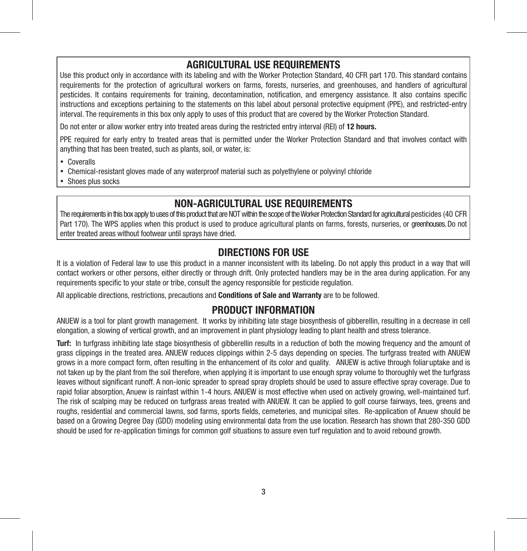### **AGRICULTURAL USE REQUIREMENTS**

Use this product only in accordance with its labeling and with the Worker Protection Standard, 40 CFR part 170. This standard contains requirements for the protection of agricultural workers on farms, forests, nurseries, and greenhouses, and handlers of agricultural pesticides. It contains requirements for training, decontamination, notification, and emergency assistance. It also contains specific instructions and exceptions pertaining to the statements on this label about personal protective equipment (PPE), and restricted-entry interval. The requirements in this box only apply to uses of this product that are covered by the Worker Protection Standard.

Do not enter or allow worker entry into treated areas during the restricted entry interval (REI) of **12 hours.**

PPE required for early entry to treated areas that is permitted under the Worker Protection Standard and that involves contact with anything that has been treated, such as plants, soil, or water, is:

- Coveralls
- Chemical-resistant gloves made of any waterproof material such as polyethylene or polyvinyl chloride
- Shoes plus socks

## **NON-AGRICULTURAL USE REQUIREMENTS**

The requirements in this box apply to uses of this product that are NOT within the scope of the Worker Protection Standard for agricultural pesticides (40 CFR Part 170). The WPS applies when this product is used to produce agricultural plants on farms, forests, nurseries, or greenhouses. Do not enter treated areas without footwear until sprays have dried.

### **DIRECTIONS FOR USE**

It is a violation of Federal law to use this product in a manner inconsistent with its labeling. Do not apply this product in a way that will contact workers or other persons, either directly or through drift. Only protected handlers may be in the area during application. For any requirements specific to your state or tribe, consult the agency responsible for pesticide regulation.

All applicable directions, restrictions, precautions and **Conditions of Sale and Warranty** are to be followed.

### **PRODUCT INFORMATION**

ANUEW is a tool for plant growth management. It works by inhibiting late stage biosynthesis of gibberellin, resulting in a decrease in cell elongation, a slowing of vertical growth, and an improvement in plant physiology leading to plant health and stress tolerance.

**Turf:** In turfgrass inhibiting late stage biosynthesis of gibberellin results in a reduction of both the mowing frequency and the amount of grass clippings in the treated area. ANUEW reduces clippings within 2-5 days depending on species. The turfgrass treated with ANUEW grows in a more compact form, often resulting in the enhancement of its color and quality. ANUEW is active through foliar uptake and is not taken up by the plant from the soil therefore, when applying it is important to use enough spray volume to thoroughly wet the turfgrass leaves without significant runoff. A non-ionic spreader to spread spray droplets should be used to assure effective spray coverage. Due to rapid foliar absorption, Anuew is rainfast within 1-4 hours. ANUEW is most effective when used on actively growing, well-maintained turf. The risk of scalping may be reduced on turfgrass areas treated with ANUEW. It can be applied to golf course fairways, tees, greens and roughs, residential and commercial lawns, sod farms, sports fields, cemeteries, and municipal sites. Re-application of Anuew should be based on a Growing Degree Day (GDD) modeling using environmental data from the use location. Research has shown that 280-350 GDD should be used for re-application timings for common golf situations to assure even turf regulation and to avoid rebound growth.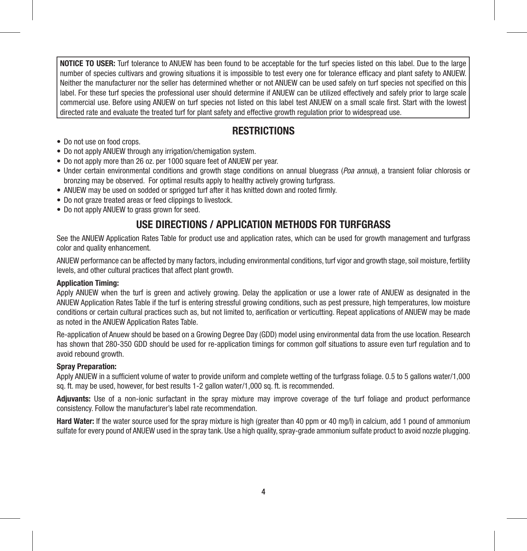**NOTICE TO USER:** Turf tolerance to ANUEW has been found to be acceptable for the turf species listed on this label. Due to the large number of species cultivars and growing situations it is impossible to test every one for tolerance efficacy and plant safety to ANUEW. Neither the manufacturer nor the seller has determined whether or not ANUEW can be used safely on turf species not specified on this label. For these turf species the professional user should determine if ANUEW can be utilized effectively and safely prior to large scale commercial use. Before using ANUEW on turf species not listed on this label test ANUEW on a small scale first. Start with the lowest directed rate and evaluate the treated turf for plant safety and effective growth regulation prior to widespread use.

### **RESTRICTIONS**

- Do not use on food crops.
- Do not apply ANUEW through any irrigation/chemigation system.
- Do not apply more than 26 oz. per 1000 square feet of ANUEW per year.
- Under certain environmental conditions and growth stage conditions on annual bluegrass (*Poa annua*), a transient foliar chlorosis or bronzing may be observed. For optimal results apply to healthy actively growing turfgrass.
- ANUEW may be used on sodded or sprigged turf after it has knitted down and rooted firmly.
- Do not graze treated areas or feed clippings to livestock.
- Do not apply ANUEW to grass grown for seed.

## **USE DIRECTIONS / APPLICATION METHODS FOR TURFGRASS**

See the ANUEW Application Rates Table for product use and application rates, which can be used for growth management and turfgrass color and quality enhancement.

ANUEW performance can be affected by many factors, including environmental conditions, turf vigor and growth stage, soil moisture, fertility levels, and other cultural practices that affect plant growth.

#### **Application Timing:**

Apply ANUEW when the turf is green and actively growing. Delay the application or use a lower rate of ANUEW as designated in the ANUEW Application Rates Table if the turf is entering stressful growing conditions, such as pest pressure, high temperatures, low moisture conditions or certain cultural practices such as, but not limited to, aerification or verticutting. Repeat applications of ANUEW may be made as noted in the ANUEW Application Rates Table.

Re-application of Anuew should be based on a Growing Degree Day (GDD) model using environmental data from the use location. Research has shown that 280-350 GDD should be used for re-application timings for common golf situations to assure even turf regulation and to avoid rebound growth.

#### **Spray Preparation:**

Apply ANUEW in a sufficient volume of water to provide uniform and complete wetting of the turfgrass foliage. 0.5 to 5 gallons water/1,000 sq. ft. may be used, however, for best results 1-2 gallon water/1,000 sq. ft. is recommended.

**Adjuvants:** Use of a non-ionic surfactant in the spray mixture may improve coverage of the turf foliage and product performance consistency. Follow the manufacturer's label rate recommendation.

**Hard Water:** If the water source used for the spray mixture is high (greater than 40 ppm or 40 mg/I) in calcium, add 1 pound of ammonium sulfate for every pound of ANUEW used in the spray tank. Use a high quality, spray-grade ammonium sulfate product to avoid nozzle plugging.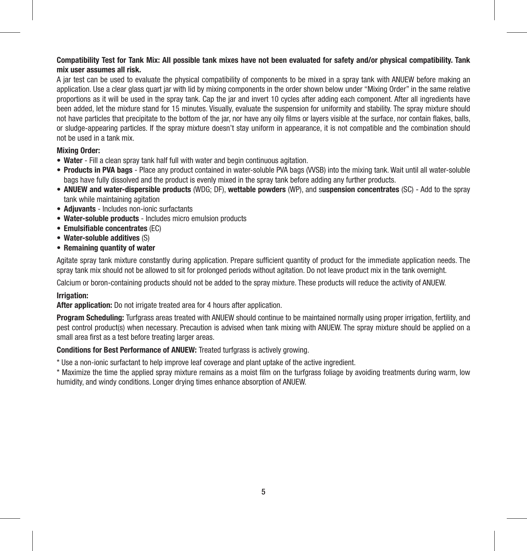#### **Compatibility Test for Tank Mix: All possible tank mixes have not been evaluated for safety and/or physical compatibility. Tank mix user assumes all risk.**

A jar test can be used to evaluate the physical compatibility of components to be mixed in a spray tank with ANUEW before making an application. Use a clear glass quart jar with lid by mixing components in the order shown below under "Mixing Order" in the same relative proportions as it will be used in the spray tank. Cap the jar and invert 10 cycles after adding each component. After all ingredients have been added, let the mixture stand for 15 minutes. Visually, evaluate the suspension for uniformity and stability. The spray mixture should not have particles that precipitate to the bottom of the jar, nor have any oily films or layers visible at the surface, nor contain flakes, balls, or sludge-appearing particles. If the spray mixture doesn't stay uniform in appearance, it is not compatible and the combination should not be used in a tank mix.

#### **Mixing Order:**

- **Water** Fill a clean spray tank half full with water and begin continuous agitation.
- **Products in PVA bags** Place any product contained in water-soluble PVA bags (VVSB) into the mixing tank. Wait until all water-soluble bags have fully dissolved and the product is evenly mixed in the spray tank before adding any further products.
- **ANUEW and water-dispersible products** (WDG; DF), **wettable powders** (WP), and s**uspension concentrates** (SC) Add to the spray tank while maintaining agitation
- **Adjuvants** Includes non-ionic surfactants
- **Water-soluble products** Includes micro emulsion products
- **Emulsifiable concentrates** (EC)
- **Water-soluble additives** (S)
- **Remaining quantity of water**

Agitate spray tank mixture constantly during application. Prepare sufficient quantity of product for the immediate application needs. The spray tank mix should not be allowed to sit for prolonged periods without agitation. Do not leave product mix in the tank overnight.

Calcium or boron-containing products should not be added to the spray mixture. These products will reduce the activity of ANUEW.

#### **Irrigation:**

**After application:** Do not irrigate treated area for 4 hours after application.

**Program Scheduling:** Turfgrass areas treated with ANUEW should continue to be maintained normally using proper irrigation, fertility, and pest control product(s) when necessary. Precaution is advised when tank mixing with ANUEW. The spray mixture should be applied on a small area first as a test before treating larger areas.

**Conditions for Best Performance of ANUEW:** Treated turfgrass is actively growing.

\* Use a non-ionic surfactant to help improve leaf coverage and plant uptake of the active ingredient.

\* Maximize the time the applied spray mixture remains as a moist film on the turfgrass foliage by avoiding treatments during warm, low humidity, and windy conditions. Longer drying times enhance absorption of ANUEW.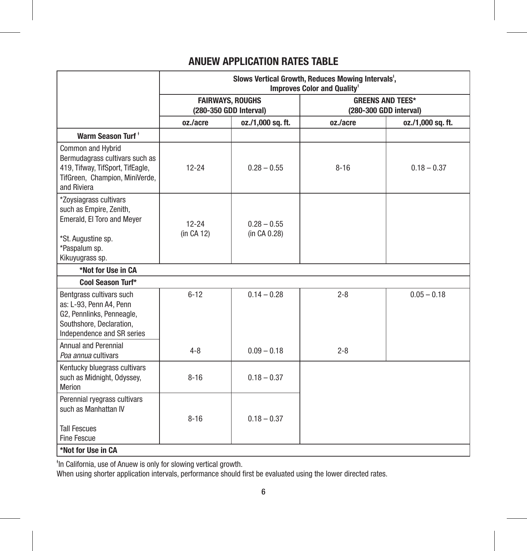## **ANUEW APPLICATION RATES TABLE**

|                                                                                                                                            | Slows Vertical Growth, Reduces Mowing Intervals <sup>t</sup> ,<br><b>Improves Color and Quality*</b> |                               |                                                   |                   |
|--------------------------------------------------------------------------------------------------------------------------------------------|------------------------------------------------------------------------------------------------------|-------------------------------|---------------------------------------------------|-------------------|
|                                                                                                                                            | <b>FAIRWAYS, ROUGHS</b><br>(280-350 GDD Interval)                                                    |                               | <b>GREENS AND TEES*</b><br>(280-300 GDD interval) |                   |
|                                                                                                                                            | oz./acre                                                                                             | oz./1,000 sq. ft.             | oz./acre                                          | oz./1,000 sq. ft. |
| Warm Season Turf <sup>+</sup>                                                                                                              |                                                                                                      |                               |                                                   |                   |
| Common and Hybrid<br>Bermudagrass cultivars such as<br>419, Tifway, TifSport, TifEagle,<br>TifGreen, Champion, MiniVerde,<br>and Riviera   | $12 - 24$                                                                                            | $0.28 - 0.55$                 | $8 - 16$                                          | $0.18 - 0.37$     |
| *Zovsiagrass cultivars<br>such as Empire, Zenith,<br>Emerald, El Toro and Meyer<br>*St. Augustine sp.<br>*Paspalum sp.<br>Kikuyugrass sp.  | $12 - 24$<br>(in CA 12)                                                                              | $0.28 - 0.55$<br>(in CA 0.28) |                                                   |                   |
| *Not for Use in CA                                                                                                                         |                                                                                                      |                               |                                                   |                   |
| Cool Season Turf*                                                                                                                          |                                                                                                      |                               |                                                   |                   |
| Bentgrass cultivars such<br>as: L-93, Penn A4, Penn<br>G2, Pennlinks, Penneagle,<br>Southshore, Declaration,<br>Independence and SR series | $6 - 12$                                                                                             | $0.14 - 0.28$                 | $2 - 8$                                           | $0.05 - 0.18$     |
| <b>Annual and Perennial</b><br>Poa annua cultivars                                                                                         | $4 - 8$                                                                                              | $0.09 - 0.18$                 | $2 - 8$                                           |                   |
| Kentucky bluegrass cultivars<br>such as Midnight, Odyssey,<br>Merion                                                                       | $8 - 16$                                                                                             | $0.18 - 0.37$                 |                                                   |                   |
| Perennial ryegrass cultivars<br>such as Manhattan IV<br><b>Tall Fescues</b><br>Fine Fescue<br>*Not for Use in CA                           | $8 - 16$                                                                                             | $0.18 - 0.37$                 |                                                   |                   |

ᵻ In California, use of Anuew is only for slowing vertical growth. When using shorter application intervals, performance should first be evaluated using the lower directed rates.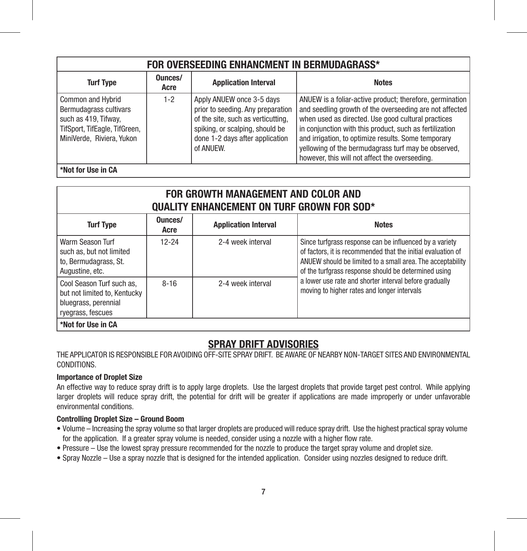| FOR OVERSEEDING ENHANCMENT IN BERMUDAGRASS*                                                                                       |                 |                                                                                                                                                                                         |                                                                                                                                                                                                                                                                                                                                                                                                      |  |
|-----------------------------------------------------------------------------------------------------------------------------------|-----------------|-----------------------------------------------------------------------------------------------------------------------------------------------------------------------------------------|------------------------------------------------------------------------------------------------------------------------------------------------------------------------------------------------------------------------------------------------------------------------------------------------------------------------------------------------------------------------------------------------------|--|
| <b>Turf Type</b>                                                                                                                  | Ounces/<br>Acre | <b>Application Interval</b>                                                                                                                                                             | <b>Notes</b>                                                                                                                                                                                                                                                                                                                                                                                         |  |
| Common and Hybrid<br>Bermudagrass cultivars<br>such as 419, Tifway,<br>TifSport, TifEagle, TifGreen,<br>MiniVerde, Riviera, Yukon | $1-2$           | Apply ANUEW once 3-5 days<br>prior to seeding. Any preparation<br>of the site, such as verticutting.<br>spiking, or scalping, should be<br>done 1-2 days after application<br>of ANUEW. | ANUEW is a foliar-active product; therefore, germination<br>and seedling growth of the overseeding are not affected<br>when used as directed. Use good cultural practices<br>in conjunction with this product, such as fertilization<br>and irrigation, to optimize results. Some temporary<br>yellowing of the bermudagrass turf may be observed,<br>however, this will not affect the overseeding. |  |
| *Not for IJse in CA                                                                                                               |                 |                                                                                                                                                                                         |                                                                                                                                                                                                                                                                                                                                                                                                      |  |

| FOR GROWTH MANAGEMENT AND COLOR AND<br><b>QUALITY ENHANCEMENT ON TURF GROWN FOR SOD*</b>               |                 |                             |                                                                                                                                                                                                                                               |  |  |
|--------------------------------------------------------------------------------------------------------|-----------------|-----------------------------|-----------------------------------------------------------------------------------------------------------------------------------------------------------------------------------------------------------------------------------------------|--|--|
| <b>Turf Type</b>                                                                                       | Ounces/<br>Acre | <b>Application Interval</b> | <b>Notes</b>                                                                                                                                                                                                                                  |  |  |
| Warm Season Turf<br>such as, but not limited<br>to, Bermudagrass, St.<br>Augustine, etc.               | $12 - 24$       | 2-4 week interval           | Since turfgrass response can be influenced by a variety<br>of factors, it is recommended that the initial evaluation of<br>ANUEW should be limited to a small area. The acceptability<br>of the turfgrass response should be determined using |  |  |
| Cool Season Turf such as.<br>but not limited to. Kentucky<br>bluegrass, perennial<br>ryegrass, fescues | $8 - 16$        | 2-4 week interval           | a lower use rate and shorter interval before gradually<br>moving to higher rates and longer intervals                                                                                                                                         |  |  |
| *Not for Use in CA                                                                                     |                 |                             |                                                                                                                                                                                                                                               |  |  |

## **SPRAY DRIFT ADVISORIES**

THE APPLICATOR IS RESPONSIBLE FOR AVOIDING OFF-SITE SPRAY DRIFT. BE AWARE OF NEARBY NON-TARGET SITES AND ENVIRONMENTAL CONDITIONS.

#### **Importance of Droplet Size**

An effective way to reduce spray drift is to apply large droplets. Use the largest droplets that provide target pest control. While applying larger droplets will reduce spray drift, the potential for drift will be greater if applications are made improperly or under unfavorable environmental conditions.

#### **Controlling Droplet Size – Ground Boom**

- Volume Increasing the spray volume so that larger droplets are produced will reduce spray drift. Use the highest practical spray volume for the application. If a greater spray volume is needed, consider using a nozzle with a higher flow rate.
- Pressure Use the lowest spray pressure recommended for the nozzle to produce the target spray volume and droplet size.
- Spray Nozzle Use a spray nozzle that is designed for the intended application. Consider using nozzles designed to reduce drift.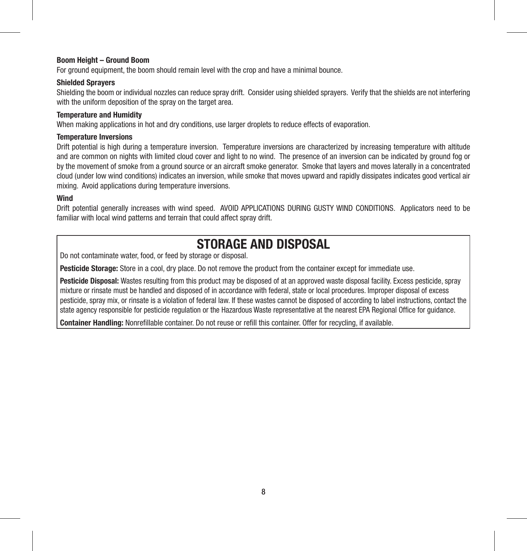#### **Boom Height – Ground Boom**

For ground equipment, the boom should remain level with the crop and have a minimal bounce.

#### **Shielded Sprayers**

Shielding the boom or individual nozzles can reduce spray drift. Consider using shielded sprayers. Verify that the shields are not interfering with the uniform deposition of the spray on the target area.

#### **Temperature and Humidity**

When making applications in hot and dry conditions, use larger droplets to reduce effects of evaporation.

#### **Temperature Inversions**

Drift potential is high during a temperature inversion. Temperature inversions are characterized by increasing temperature with altitude and are common on nights with limited cloud cover and light to no wind. The presence of an inversion can be indicated by ground fog or by the movement of smoke from a ground source or an aircraft smoke generator. Smoke that layers and moves laterally in a concentrated cloud (under low wind conditions) indicates an inversion, while smoke that moves upward and rapidly dissipates indicates good vertical air mixing. Avoid applications during temperature inversions.

#### **Wind**

Drift potential generally increases with wind speed. AVOID APPLICATIONS DURING GUSTY WIND CONDITIONS. Applicators need to be familiar with local wind patterns and terrain that could affect spray drift.

# **STORAGE AND DISPOSAL**

Do not contaminate water, food, or feed by storage or disposal.

**Pesticide Storage:** Store in a cool, dry place. Do not remove the product from the container except for immediate use.

**Pesticide Disposal:** Wastes resulting from this product may be disposed of at an approved waste disposal facility. Excess pesticide, spray mixture or rinsate must be handled and disposed of in accordance with federal, state or local procedures. Improper disposal of excess pesticide, spray mix, or rinsate is a violation of federal law. If these wastes cannot be disposed of according to label instructions, contact the state agency responsible for pesticide regulation or the Hazardous Waste representative at the nearest EPA Regional Office for guidance.

**Container Handling:** Nonrefillable container. Do not reuse or refill this container. Offer for recycling, if available.